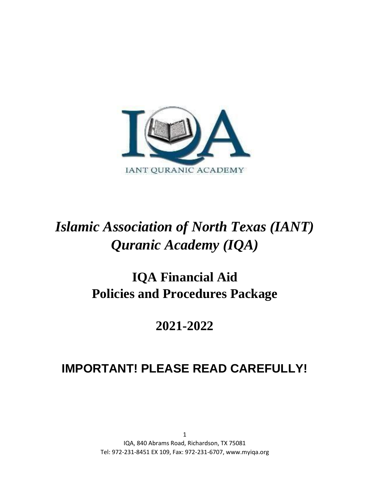

# *Islamic Association of North Texas (IANT) Quranic Academy (IQA)*

# **IQA Financial Aid Policies and Procedures Package**

# **2021-2022**

# **IMPORTANT! PLEASE READ CAREFULLY!**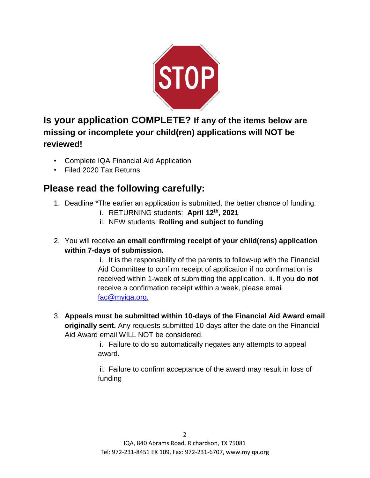

**Is your application COMPLETE? If any of the items below are missing or incomplete your child(ren) applications will NOT be reviewed!** 

- Complete IQA Financial Aid Application
- Filed 2020 Tax Returns

# **Please read the following carefully:**

- 1. Deadline \*The earlier an application is submitted, the better chance of funding.
	- i. RETURNING students: **April 12 th, 2021**
	- ii. NEW students: **Rolling and subject to funding**
- 2. You will receive **an email confirming receipt of your child(rens) application within 7-days of submission.**

i. It is the responsibility of the parents to follow-up with the Financial Aid Committee to confirm receipt of application if no confirmation is received within 1-week of submitting the application. ii. If you **do not** receive a confirmation receipt within a week, please email fac@myiqa.org.

3. **Appeals must be submitted within 10-days of the Financial Aid Award email originally sent.** Any requests submitted 10-days after the date on the Financial Aid Award email WILL NOT be considered.

> i. Failure to do so automatically negates any attempts to appeal award.

ii. Failure to confirm acceptance of the award may result in loss of funding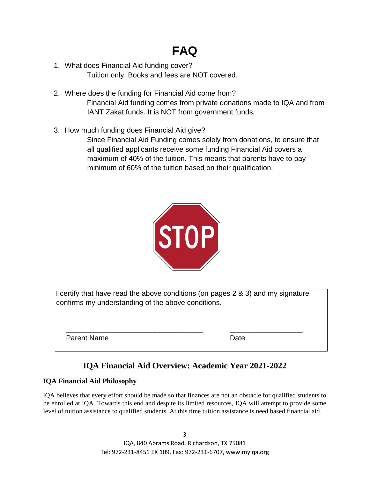# **FAQ**

- 1. What does Financial Aid funding cover? Tuition only. Books and fees are NOT covered.
- 2. Where does the funding for Financial Aid come from? Financial Aid funding comes from private donations made to IQA and from IANT Zakat funds. It is NOT from government funds.
- 3. How much funding does Financial Aid give?

Since Financial Aid Funding comes solely from donations, to ensure that all qualified applicants receive some funding Financial Aid covers a maximum of 40% of the tuition. This means that parents have to pay minimum of 60% of the tuition based on their qualification.



I certify that have read the above conditions (on pages 2 & 3) and my signature confirms my understanding of the above conditions.

\_\_\_\_\_\_\_\_\_\_\_\_\_\_\_\_\_\_\_\_\_\_\_\_\_\_\_\_\_\_\_\_\_\_ \_\_\_\_\_\_\_\_\_\_\_\_\_\_\_\_\_\_

Parent Name **Date** 

# **IQA Financial Aid Overview: Academic Year 2021-2022**

# **IQA Financial Aid Philosophy**

IQA believes that every effort should be made so that finances are not an obstacle for qualified students to be enrolled at IQA. Towards this end and despite its limited resources, IQA will attempt to provide some level of tuition assistance to qualified students. At this time tuition assistance is need based financial aid.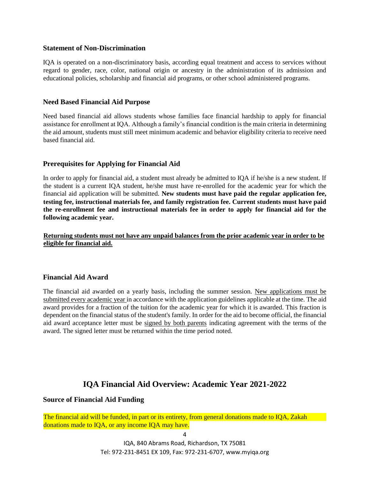#### **Statement of Non-Discrimination**

IQA is operated on a non-discriminatory basis, according equal treatment and access to services without regard to gender, race, color, national origin or ancestry in the administration of its admission and educational policies, scholarship and financial aid programs, or other school administered programs.

### **Need Based Financial Aid Purpose**

Need based financial aid allows students whose families face financial hardship to apply for financial assistance for enrollment at IQA. Although a family's financial condition is the main criteria in determining the aid amount, students must still meet minimum academic and behavior eligibility criteria to receive need based financial aid.

## **Prerequisites for Applying for Financial Aid**

In order to apply for financial aid, a student must already be admitted to IQA if he/she is a new student. If the student is a current IQA student, he/she must have re-enrolled for the academic year for which the financial aid application will be submitted. **New students must have paid the regular application fee, testing fee, instructional materials fee, and family registration fee. Current students must have paid the re-enrollment fee and instructional materials fee in order to apply for financial aid for the following academic year.** 

**Returning students must not have any unpaid balances from the prior academic year in order to be eligible for financial aid.**

## **Financial Aid Award**

The financial aid awarded on a yearly basis, including the summer session. New applications must be submitted every academic year in accordance with the application guidelines applicable at the time. The aid award provides for a fraction of the tuition for the academic year for which it is awarded. This fraction is dependent on the financial status of the student's family. In order for the aid to become official, the financial aid award acceptance letter must be signed by both parents indicating agreement with the terms of the award. The signed letter must be returned within the time period noted.

# **IQA Financial Aid Overview: Academic Year 2021-2022**

#### **Source of Financial Aid Funding**

The financial aid will be funded, in part or its entirety, from general donations made to IQA, Zakah donations made to IQA, or any income IQA may have.

IQA, 840 Abrams Road, Richardson, TX 75081 Tel: 972-231-8451 EX 109, Fax: 972-231-6707, www.myiqa.org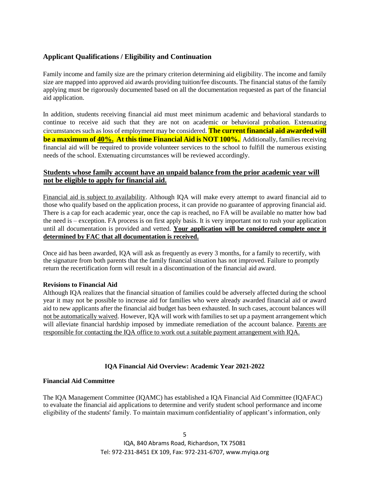# **Applicant Qualifications / Eligibility and Continuation**

Family income and family size are the primary criterion determining aid eligibility. The income and family size are mapped into approved aid awards providing tuition/fee discounts. The financial status of the family applying must be rigorously documented based on all the documentation requested as part of the financial aid application.

In addition, students receiving financial aid must meet minimum academic and behavioral standards to continue to receive aid such that they are not on academic or behavioral probation. Extenuating circumstances such as loss of employment may be considered. **The current financial aid awarded will be a maximum of 40%. At this time Financial Aid is NOT 100%.** Additionally, families receiving financial aid will be required to provide volunteer services to the school to fulfill the numerous existing needs of the school. Extenuating circumstances will be reviewed accordingly.

# **Students whose family account have an unpaid balance from the prior academic year will not be eligible to apply for financial aid.**

Financial aid is subject to availability. Although IQA will make every attempt to award financial aid to those who qualify based on the application process, it can provide no guarantee of approving financial aid. There is a cap for each academic year, once the cap is reached, no FA will be available no matter how bad the need is – exception. FA process is on first apply basis. It is very important not to rush your application until all documentation is provided and vetted. **Your application will be considered complete once it determined by FAC that all documentation is received.**

Once aid has been awarded, IQA will ask as frequently as every 3 months, for a family to recertify, with the signature from both parents that the family financial situation has not improved. Failure to promptly return the recertification form will result in a discontinuation of the financial aid award.

#### **Revisions to Financial Aid**

Although IQA realizes that the financial situation of families could be adversely affected during the school year it may not be possible to increase aid for families who were already awarded financial aid or award aid to new applicants after the financial aid budget has been exhausted. In such cases, account balances will not be automatically waived. However, IQA will work with families to set up a payment arrangement which will alleviate financial hardship imposed by immediate remediation of the account balance. Parents are responsible for contacting the IQA office to work out a suitable payment arrangement with IQA.

#### **IQA Financial Aid Overview: Academic Year 2021-2022**

#### **Financial Aid Committee**

The IQA Management Committee (IQAMC) has established a IQA Financial Aid Committee (IQAFAC) to evaluate the financial aid applications to determine and verify student school performance and income eligibility of the students' family. To maintain maximum confidentiality of applicant's information, only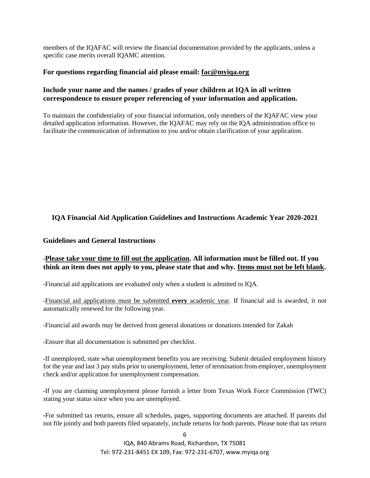members of the IQAFAC will review the financial documentation provided by the applicants, unless a specific case merits overall IQAMC attention.

### **For questions regarding financial aid please email: fac@myiqa.org**

# **Include your name and the names / grades of your children at IQA in all written correspondence to ensure proper referencing of your information and application.**

To maintain the confidentiality of your financial information, only members of the IQAFAC view your detailed application information. However, the IQAFAC may rely on the IQA administration office to facilitate the communication of information to you and/or obtain clarification of your application.

# **IQA Financial Aid Application Guidelines and Instructions Academic Year 2020-2021**

## **Guidelines and General Instructions**

# -**Please take your time to fill out the application. All information must be filled out. If you think an item does not apply to you, please state that and why. Items must not be left blank.**

-Financial aid applications are evaluated only when a student is admitted to IQA.

-Financial aid applications must be submitted **every** academic year. If financial aid is awarded, it not automatically renewed for the following year.

-Financial aid awards may be derived from general donations or donations intended for Zakah

-Ensure that all documentation is submitted per checklist.

-If unemployed, state what unemployment benefits you are receiving. Submit detailed employment history for the year and last 3 pay stubs prior to unemployment, letter of termination from employer, unemployment check and/or application for unemployment compensation.

-If you are claiming unemployment please furnish a letter from Texas Work Force Commission (TWC) stating your status since when you are unemployed.

-For submitted tax returns, ensure all schedules, pages, supporting documents are attached. If parents did not file jointly and both parents filed separately, include returns for both parents. Please note that tax return

> IQA, 840 Abrams Road, Richardson, TX 75081 Tel: 972-231-8451 EX 109, Fax: 972-231-6707, www.myiqa.org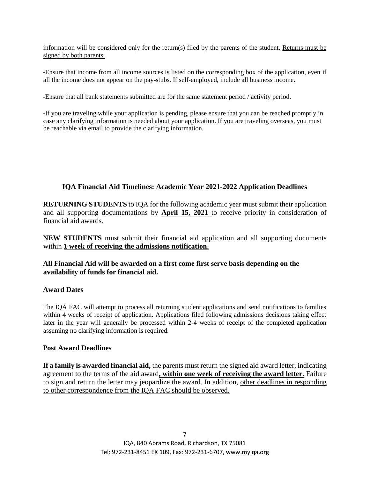information will be considered only for the return(s) filed by the parents of the student. Returns must be signed by both parents.

-Ensure that income from all income sources is listed on the corresponding box of the application, even if all the income does not appear on the pay-stubs. If self-employed, include all business income.

-Ensure that all bank statements submitted are for the same statement period / activity period.

-If you are traveling while your application is pending, please ensure that you can be reached promptly in case any clarifying information is needed about your application. If you are traveling overseas, you must be reachable via email to provide the clarifying information.

# **IQA Financial Aid Timelines: Academic Year 2021-2022 Application Deadlines**

**RETURNING STUDENTS** to IQA for the following academic year must submit their application and all supporting documentations by **April 15, 2021** to receive priority in consideration of financial aid awards.

**NEW STUDENTS** must submit their financial aid application and all supporting documents within **1 week of receiving the admissions notification.**

# **All Financial Aid will be awarded on a first come first serve basis depending on the availability of funds for financial aid.**

## **Award Dates**

The IQA FAC will attempt to process all returning student applications and send notifications to families within 4 weeks of receipt of application. Applications filed following admissions decisions taking effect later in the year will generally be processed within 2-4 weeks of receipt of the completed application assuming no clarifying information is required.

## **Post Award Deadlines**

**If a family is awarded financial aid,** the parents must return the signed aid award letter, indicating agreement to the terms of the aid award**, within one week of receiving the award letter**. Failure to sign and return the letter may jeopardize the award. In addition, other deadlines in responding to other correspondence from the IQA FAC should be observed.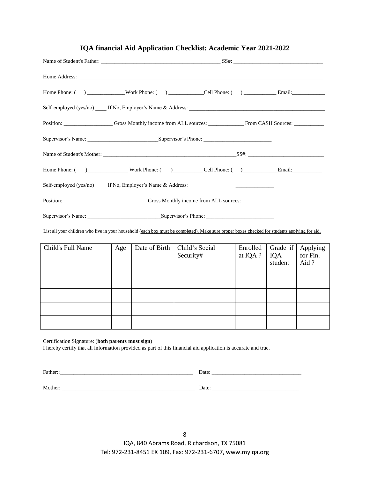| Self-employed (yes/no) _____ If No, Employer's Name & Address:                                                                                                                                                                 |  |
|--------------------------------------------------------------------------------------------------------------------------------------------------------------------------------------------------------------------------------|--|
| Position: Construction Construction Construction Construction Construction Construction Construction Construction Construction Construction Construction Construction Construction Construction Construction Construction Cons |  |
|                                                                                                                                                                                                                                |  |

**IQA financial Aid Application Checklist: Academic Year 2021-2022**

List all your children who live in your household (each box must be completed). Make sure proper boxes checked for students applying for aid.

| Child's Full Name | Age | Date of Birth | Child's Social<br>Security# | Enrolled<br>at IQA ? | Grade if<br>IQA<br>student | Applying<br>for Fin.<br>Aid? |
|-------------------|-----|---------------|-----------------------------|----------------------|----------------------------|------------------------------|
|                   |     |               |                             |                      |                            |                              |
|                   |     |               |                             |                      |                            |                              |
|                   |     |               |                             |                      |                            |                              |
|                   |     |               |                             |                      |                            |                              |

Certification Signature: (**both parents must sign**)

I hereby certify that all information provided as part of this financial aid application is accurate and true.

Father::\_\_\_\_\_\_\_\_\_\_\_\_\_\_\_\_\_\_\_\_\_\_\_\_\_\_\_\_\_\_\_\_\_\_\_\_\_\_\_\_\_\_\_\_\_\_\_\_\_ Date: \_\_\_\_\_\_\_\_\_\_\_\_\_\_\_\_\_\_\_\_\_\_\_\_\_\_\_\_\_\_\_\_\_ Mother: \_\_\_\_\_\_\_\_\_\_\_\_\_\_\_\_\_\_\_\_\_\_\_\_\_\_\_\_\_\_\_\_\_\_\_\_\_\_\_\_\_\_\_\_\_\_\_\_\_ Date: \_\_\_\_\_\_\_\_\_\_\_\_\_\_\_\_\_\_\_\_\_\_\_\_\_\_\_\_\_\_\_\_